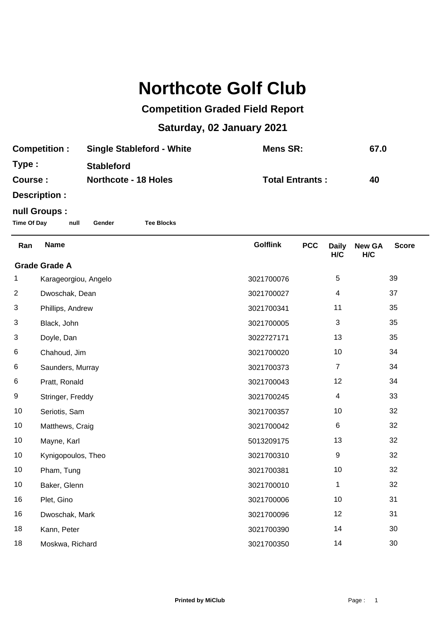## **Northcote Golf Club**

## **Competition Graded Field Report**

## **Saturday, 02 January 2021**

| <b>Competition:</b> | <b>Single Stableford - White</b> | Mens SR:               | 67.0 |
|---------------------|----------------------------------|------------------------|------|
| Type :              | <b>Stableford</b>                |                        |      |
| Course :            | <b>Northcote - 18 Holes</b>      | <b>Total Entrants:</b> | 40   |
| Docorintion,        |                                  |                        |      |

**Description :**

## **null Groups :**

**Time Of Day null Gender Tee Blocks**

| Ran                  | <b>Name</b>          | <b>Golflink</b> | <b>PCC</b> | <b>Daily</b><br>H/C | <b>New GA</b><br>H/C | <b>Score</b> |
|----------------------|----------------------|-----------------|------------|---------------------|----------------------|--------------|
| <b>Grade Grade A</b> |                      |                 |            |                     |                      |              |
| 1                    | Karageorgiou, Angelo | 3021700076      |            | 5                   |                      | 39           |
| $\overline{2}$       | Dwoschak, Dean       | 3021700027      |            | 4                   |                      | 37           |
| 3                    | Phillips, Andrew     | 3021700341      |            | 11                  |                      | 35           |
| 3                    | Black, John          | 3021700005      |            | 3                   |                      | 35           |
| 3                    | Doyle, Dan           | 3022727171      |            | 13                  |                      | 35           |
| 6                    | Chahoud, Jim         | 3021700020      |            | 10                  |                      | 34           |
| 6                    | Saunders, Murray     | 3021700373      |            | $\overline{7}$      |                      | 34           |
| 6                    | Pratt, Ronald        | 3021700043      |            | 12                  |                      | 34           |
| 9                    | Stringer, Freddy     | 3021700245      |            | 4                   |                      | 33           |
| 10                   | Seriotis, Sam        | 3021700357      |            | 10                  |                      | 32           |
| 10                   | Matthews, Craig      | 3021700042      |            | 6                   |                      | 32           |
| 10                   | Mayne, Karl          | 5013209175      |            | 13                  |                      | 32           |
| 10                   | Kynigopoulos, Theo   | 3021700310      |            | 9                   |                      | 32           |
| 10                   | Pham, Tung           | 3021700381      |            | 10                  |                      | 32           |
| 10                   | Baker, Glenn         | 3021700010      |            | 1                   |                      | 32           |
| 16                   | Plet, Gino           | 3021700006      |            | 10                  |                      | 31           |
| 16                   | Dwoschak, Mark       | 3021700096      |            | 12                  |                      | 31           |
| 18                   | Kann, Peter          | 3021700390      |            | 14                  |                      | 30           |
| 18                   | Moskwa, Richard      | 3021700350      |            | 14                  |                      | 30           |